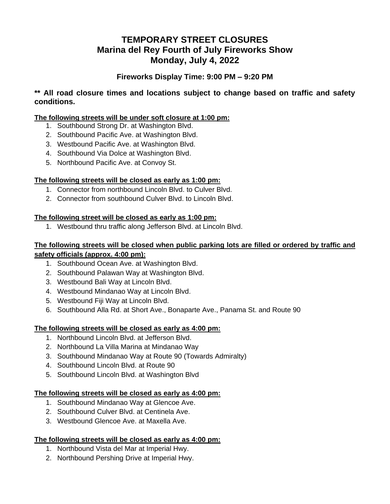# **TEMPORARY STREET CLOSURES Marina del Rey Fourth of July Fireworks Show Monday, July 4, 2022**

## **Fireworks Display Time: 9:00 PM – 9:20 PM**

**\*\* All road closure times and locations subject to change based on traffic and safety conditions.** 

## **The following streets will be under soft closure at 1:00 pm:**

- 1. Southbound Strong Dr. at Washington Blvd.
- 2. Southbound Pacific Ave. at Washington Blvd.
- 3. Westbound Pacific Ave. at Washington Blvd.
- 4. Southbound Via Dolce at Washington Blvd.
- 5. Northbound Pacific Ave. at Convoy St.

## **The following streets will be closed as early as 1:00 pm:**

- 1. Connector from northbound Lincoln Blvd. to Culver Blvd.
- 2. Connector from southbound Culver Blvd. to Lincoln Blvd.

## **The following street will be closed as early as 1:00 pm:**

1. Westbound thru traffic along Jefferson Blvd. at Lincoln Blvd.

#### **The following streets will be closed when public parking lots are filled or ordered by traffic and safety officials (approx. 4:00 pm):**

- 1. Southbound Ocean Ave. at Washington Blvd.
- 2. Southbound Palawan Way at Washington Blvd.
- 3. Westbound Bali Way at Lincoln Blvd.
- 4. Westbound Mindanao Way at Lincoln Blvd.
- 5. Westbound Fiji Way at Lincoln Blvd.
- 6. Southbound Alla Rd. at Short Ave., Bonaparte Ave., Panama St. and Route 90

#### **The following streets will be closed as early as 4:00 pm:**

- 1. Northbound Lincoln Blvd. at Jefferson Blvd.
- 2. Northbound La Villa Marina at Mindanao Way
- 3. Southbound Mindanao Way at Route 90 (Towards Admiralty)
- 4. Southbound Lincoln Blvd. at Route 90
- 5. Southbound Lincoln Blvd. at Washington Blvd

#### **The following streets will be closed as early as 4:00 pm:**

- 1. Southbound Mindanao Way at Glencoe Ave.
- 2. Southbound Culver Blvd. at Centinela Ave.
- 3. Westbound Glencoe Ave. at Maxella Ave.

#### **The following streets will be closed as early as 4:00 pm:**

- 1. Northbound Vista del Mar at Imperial Hwy.
- 2. Northbound Pershing Drive at Imperial Hwy.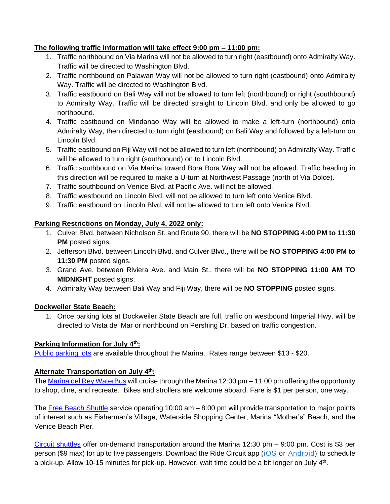## **The following traffic information will take effect 9:00 pm – 11:00 pm:**

- 1. Traffic northbound on Via Marina will not be allowed to turn right (eastbound) onto Admiralty Way. Traffic will be directed to Washington Blvd.
- 2. Traffic northbound on Palawan Way will not be allowed to turn right (eastbound) onto Admiralty Way. Traffic will be directed to Washington Blvd.
- 3. Traffic eastbound on Bali Way will not be allowed to turn left (northbound) or right (southbound) to Admiralty Way. Traffic will be directed straight to Lincoln Blvd. and only be allowed to go northbound.
- 4. Traffic eastbound on Mindanao Way will be allowed to make a left-turn (northbound) onto Admiralty Way, then directed to turn right (eastbound) on Bali Way and followed by a left-turn on Lincoln Blvd.
- 5. Traffic eastbound on Fiji Way will not be allowed to turn left (northbound) on Admiralty Way. Traffic will be allowed to turn right (southbound) on to Lincoln Blvd.
- 6. Traffic southbound on Via Marina toward Bora Bora Way will not be allowed. Traffic heading in this direction will be required to make a U-turn at Northwest Passage (north of Via Dolce).
- 7. Traffic southbound on Venice Blvd. at Pacific Ave. will not be allowed.
- 8. Traffic westbound on Lincoln Blvd. will not be allowed to turn left onto Venice Blvd.
- 9. Traffic eastbound on Lincoln Blvd. will not be allowed to turn left onto Venice Blvd.

## **Parking Restrictions on Monday, July 4, 2022 only:**

- 1. Culver Blvd. between Nicholson St. and Route 90, there will be **NO STOPPING 4:00 PM to 11:30 PM** posted signs.
- 2. Jefferson Blvd. between Lincoln Blvd. and Culver Blvd., there will be **NO STOPPING 4:00 PM to 11:30 PM** posted signs.
- 3. Grand Ave. between Riviera Ave. and Main St., there will be **NO STOPPING 11:00 AM TO MIDNIGHT** posted signs.
- 4. Admiralty Way between Bali Way and Fiji Way, there will be **NO STOPPING** posted signs.

## **Dockweiler State Beach:**

1. Once parking lots at Dockweiler State Beach are full, traffic on westbound Imperial Hwy. will be directed to Vista del Mar or northbound on Pershing Dr. based on traffic congestion.

## **Parking Information for July 4th:**

[Public parking lots](https://beaches.lacounty.gov/july4th-parking/) are available throughout the Marina. Rates range between \$13 - \$20.

## **Alternate Transportation on July 4th:**

The [Marina del Rey WaterBus](https://www.marinawaterbus.com/) will cruise through the Marina 12:00 pm – 11:00 pm offering the opportunity to shop, dine, and recreate. Bikes and strollers are welcome aboard. Fare is \$1 per person, one way.

The [Free Beach Shuttle](https://visitmdr.com/wp-content/uploads/2022/05/Beach-Shuttle-Brochure-WO51-outside-2022-5-1.pdf) service operating 10:00 am – 8:00 pm will provide transportation to major points of interest such as Fisherman's Village, Waterside Shopping Center, Marina "Mother's" Beach, and the Venice Beach Pier.

Circuit [shuttles](https://www.ridecircuit.com/venice-marina-del-rey) offer on-demand transportation around the Marina 12:30 pm – 9:00 pm. Cost is \$3 per person (\$9 max) for up to five passengers. Download the Ride Circuit app [\(iOS](https://apps.apple.com/us/app/id988052033) or [Android\)](https://play.google.com/store/apps/details?id=com.thefreeride.rider) to schedule a pick-up. Allow 10-15 minutes for pick-up. However, wait time could be a bit longer on July 4<sup>th</sup>.